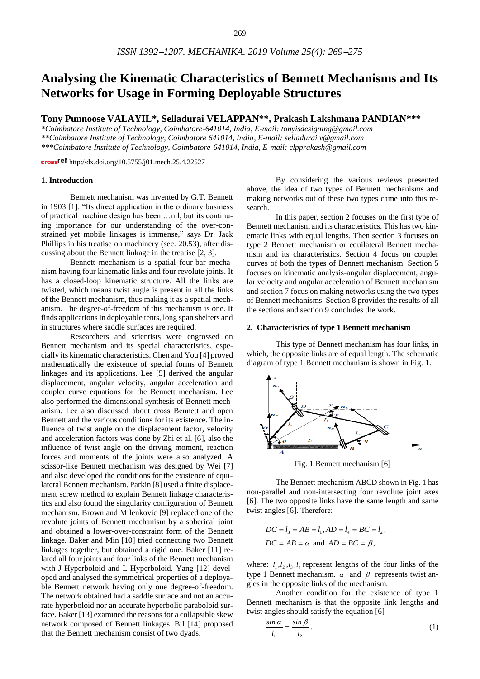# **Analysing the Kinematic Characteristics of Bennett Mechanisms and Its Networks for Usage in Forming Deployable Structures**

**Tony Punnoose VALAYIL\*, Selladurai VELAPPAN\*\*, Prakash Lakshmana PANDIAN\*\*\***

*\*Coimbatore Institute of Technology, Coimbatore-641014, India, E-mail: tonyisdesigning@gmail.com \*\*Coimbatore Institute of Technology, Coimbatore 641014, India, E-mail: selladurai.v@gmail.com \*\*\*Coimbatore Institute of Technology, Coimbatore-641014, India, E-mail: [clpprakash@gmail.com](mailto:clpprakash@gmail.com)*

cross<sup>ref</sup> <http://dx.doi.org/10.5755/j01.mech.25.4.22527>

#### **1. Introduction**

Bennett mechanism was invented by G.T. Bennett in 1903 [1]. "Its direct application in the ordinary business of practical machine design has been …nil, but its continuing importance for our understanding of the over-constrained yet mobile linkages is immense," says Dr. Jack Phillips in his treatise on machinery (sec. 20.53), after discussing about the Bennett linkage in the treatise [2, 3].

Bennett mechanism is a spatial four-bar mechanism having four kinematic links and four revolute joints. It has a closed-loop kinematic structure. All the links are twisted, which means twist angle is present in all the links of the Bennett mechanism, thus making it as a spatial mechanism. The degree-of-freedom of this mechanism is one. It finds applications in deployable tents, long span shelters and in structures where saddle surfaces are required.

Researchers and scientists were engrossed on Bennett mechanism and its special characteristics, especially its kinematic characteristics. Chen and You [4] proved mathematically the existence of special forms of Bennett linkages and its applications. Lee [5] derived the angular displacement, angular velocity, angular acceleration and coupler curve equations for the Bennett mechanism. Lee also performed the dimensional synthesis of Bennett mechanism. Lee also discussed about cross Bennett and open Bennett and the various conditions for its existence. The influence of twist angle on the displacement factor, velocity and acceleration factors was done by Zhi et al. [6], also the influence of twist angle on the driving moment, reaction forces and moments of the joints were also analyzed. A scissor-like Bennett mechanism was designed by Wei [7] and also developed the conditions for the existence of equilateral Bennett mechanism. Parkin [8] used a finite displacement screw method to explain Bennett linkage characteristics and also found the singularity configuration of Bennett mechanism. Brown and Milenkovic [9] replaced one of the revolute joints of Bennett mechanism by a spherical joint and obtained a lower-over-constraint form of the Bennett linkage. Baker and Min [10] tried connecting two Bennett linkages together, but obtained a rigid one. Baker [11] related all four joints and four links of the Bennett mechanism with J-Hyperboloid and L-Hyperboloid. Yang [12] developed and analysed the symmetrical properties of a deployable Bennett network having only one degree-of-freedom. The network obtained had a saddle surface and not an accurate hyperboloid nor an accurate hyperbolic paraboloid surface. Baker [13] examined the reasons for a collapsible skew network composed of Bennett linkages. Bil [14] proposed that the Bennett mechanism consist of two dyads.

By considering the various reviews presented above, the idea of two types of Bennett mechanisms and making networks out of these two types came into this research.

In this paper, section 2 focuses on the first type of Bennett mechanism and its characteristics. This has two kinematic links with equal lengths. Then section 3 focuses on type 2 Bennett mechanism or equilateral Bennett mechanism and its characteristics. Section 4 focus on coupler curves of both the types of Bennett mechanism. Section 5 focuses on kinematic analysis-angular displacement, angular velocity and angular acceleration of Bennett mechanism and section 7 focus on making networks using the two types of Bennett mechanisms. Section 8 provides the results of all the sections and section 9 concludes the work.

#### **2. Characteristics of type 1 Bennett mechanism**

This type of Bennett mechanism has four links, in which, the opposite links are of equal length. The schematic diagram of type 1 Bennett mechanism is shown in Fig. 1.



Fig. 1 Bennett mechanism [6]

The Bennett mechanism ABCD shown in Fig. 1 has non-parallel and non-intersecting four revolute joint axes [6]. The two opposite links have the same length and same twist angles [6]. Therefore:

$$
DC = l_3 = AB = l_1, AD = l_4 = BC = l_2,
$$
  
DC = AB =  $\alpha$  and AD = BC =  $\beta$ ,

where:  $l_1, l_2, l_3, l_4$  represent lengths of the four links of the type 1 Bennett mechanism.  $\alpha$  and  $\beta$  represents twist angles in the opposite links of the mechanism.

Another condition for the existence of type 1 Bennett mechanism is that the opposite link lengths and twist angles should satisfy the equation [6]

$$
\frac{\sin \alpha}{l_1} = \frac{\sin \beta}{l_2}.
$$
 (1)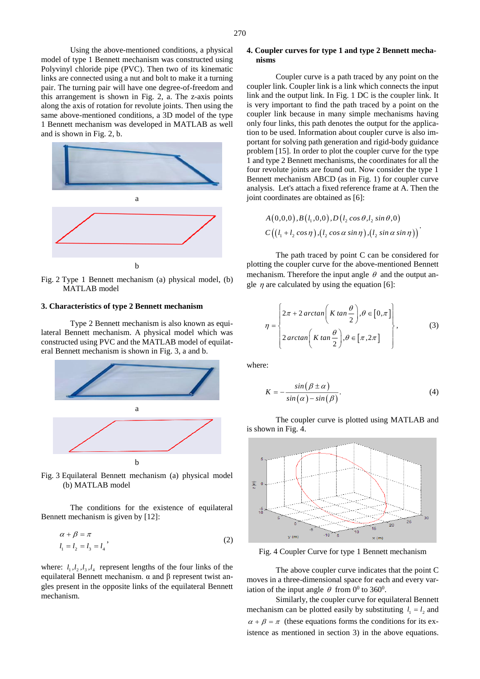Using the above-mentioned conditions, a physical model of type 1 Bennett mechanism was constructed using Polyvinyl chloride pipe (PVC). Then two of its kinematic links are connected using a nut and bolt to make it a turning pair. The turning pair will have one degree-of-freedom and this arrangement is shown in Fig. 2, a. The z-axis points along the axis of rotation for revolute joints. Then using the same above-mentioned conditions, a 3D model of the type 1 Bennett mechanism was developed in MATLAB as well and is shown in Fig. 2, b.



Fig. 2 Type 1 Bennett mechanism (a) physical model, (b) MATLAB model

## **3. Characteristics of type 2 Bennett mechanism**

Type 2 Bennett mechanism is also known as equilateral Bennett mechanism. A physical model which was constructed using PVC and the MATLAB model of equilateral Bennett mechanism is shown in Fig. 3, a and b.



Fig. 3 Equilateral Bennett mechanism (a) physical model (b) MATLAB model

The conditions for the existence of equilateral Bennett mechanism is given by [12]:

$$
\alpha + \beta = \pi
$$
  
\n
$$
l_1 = l_2 = l_3 = l_4
$$
\n(2)

where:  $l_1, l_2, l_3, l_4$  represent lengths of the four links of the equilateral Bennett mechanism. α and β represent twist angles present in the opposite links of the equilateral Bennett mechanism.

## **4. Coupler curves for type 1 and type 2 Bennett mechanisms**

Coupler curve is a path traced by any point on the coupler link. Coupler link is a link which connects the input link and the output link. In Fig. 1 DC is the coupler link. It is very important to find the path traced by a point on the coupler link because in many simple mechanisms having only four links, this path denotes the output for the application to be used. Information about coupler curve is also important for solving path generation and rigid-body guidance problem [15]. In order to plot the coupler curve for the type 1 and type 2 Bennett mechanisms, the coordinates for all the four revolute joints are found out. Now consider the type 1 Bennett mechanism ABCD (as in Fig. 1) for coupler curve analysis. Let's attach a fixed reference frame at A. Then the joint coordinates are obtained as [6]:

$$
A(0,0,0), B(l_1,0,0), D(l_2 \cos \theta, l_2 \sin \theta,0)
$$
  

$$
C((l_1 + l_2 \cos \eta), (l_2 \cos \alpha \sin \eta), (l_2 \sin \alpha \sin \eta))
$$

The path traced by point C can be considered for plotting the coupler curve for the above-mentioned Bennett mechanism. Therefore the input angle  $\theta$  and the output angle  $\eta$  are calculated by using the equation [6]:

$$
\eta = \begin{cases} 2\pi + 2\arctan\left(K\tan\frac{\theta}{2}\right), \theta \in [0, \pi]\end{cases}
$$
  

$$
2\arctan\left(K\tan\frac{\theta}{2}\right), \theta \in [\pi, 2\pi]
$$
 (3)

where:

$$
K = -\frac{\sin(\beta \pm \alpha)}{\sin(\alpha) - \sin(\beta)}.
$$
\n(4)

The coupler curve is plotted using MATLAB and is shown in Fig. 4.



Fig. 4 Coupler Curve for type 1 Bennett mechanism

The above coupler curve indicates that the point C moves in a three-dimensional space for each and every variation of the input angle  $\theta$  from 0<sup>0</sup> to 360<sup>0</sup>.

Similarly, the coupler curve for equilateral Bennett mechanism can be plotted easily by substituting  $l_1 = l_2$  and  $\alpha + \beta = \pi$  (these equations forms the conditions for its existence as mentioned in section 3) in the above equations.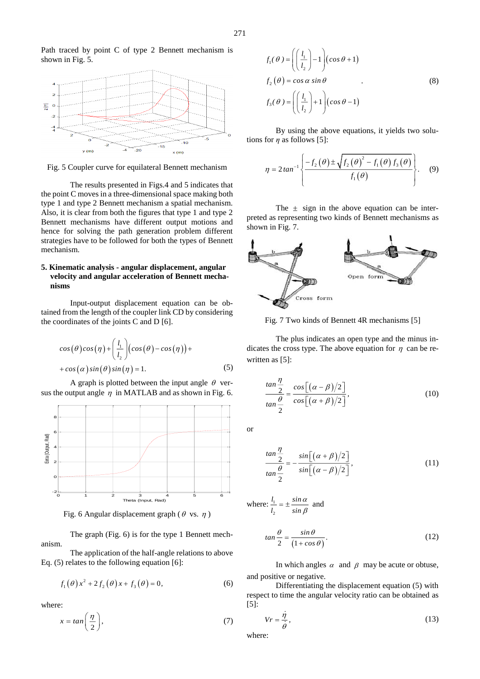Path traced by point C of type 2 Bennett mechanism is shown in Fig. 5.



Fig. 5 Coupler curve for equilateral Bennett mechanism

The results presented in Figs.4 and 5 indicates that the point C moves in a three-dimensional space making both type 1 and type 2 Bennett mechanism a spatial mechanism. Also, it is clear from both the figures that type 1 and type 2 Bennett mechanisms have different output motions and hence for solving the path generation problem different strategies have to be followed for both the types of Bennett mechanism.

## **5. Kinematic analysis - angular displacement, angular velocity and angular acceleration of Bennett mechanisms**

Input-output displacement equation can be obtained from the length of the coupler link CD by considering the coordinates of the joints C and D [6].

$$
cos(\theta)cos(\eta) + \left(\frac{l_1}{l_2}\right)(cos(\theta) - cos(\eta)) +
$$
  
+ cos(\alpha) sin(\theta) sin(\eta) = 1. (5)

A graph is plotted between the input angle  $\theta$  versus the output angle  $\eta$  in MATLAB and as shown in Fig. 6.



Fig. 6 Angular displacement graph ( $\theta$  vs.  $\eta$ )

The graph (Fig. 6) is for the type 1 Bennett mechanism.

The application of the half-angle relations to above Eq. (5) relates to the following equation [6]:

$$
f_1(\theta) x^2 + 2 f_2(\theta) x + f_3(\theta) = 0,
$$
 (6)

where:

$$
x = \tan\left(\frac{\eta}{2}\right),\tag{7}
$$

$$
f_1(\theta) = \left( \left( \frac{l_1}{l_2} \right) - 1 \right) \left( \cos \theta + 1 \right)
$$
  
\n
$$
f_2(\theta) = \cos \alpha \sin \theta
$$
  
\n
$$
f_3(\theta) = \left( \left( \frac{l_1}{l_2} \right) + 1 \right) \left( \cos \theta - 1 \right)
$$
 (8)

By using the above equations, it yields two solutions for  $\eta$  as follows [5]:

$$
\eta = 2 \tan^{-1} \left\{ \frac{-f_2(\theta) \pm \sqrt{f_2(\theta)^2 - f_1(\theta) f_3(\theta)}}{f_1(\theta)} \right\}.
$$
 (9)

The  $\pm$  sign in the above equation can be interpreted as representing two kinds of Bennett mechanisms as shown in Fig. 7.



Fig. 7 Two kinds of Bennett 4R mechanisms [5]

The plus indicates an open type and the minus indicates the cross type. The above equation for  $\eta$  can be rewritten as [5]:

$$
\frac{\tan\frac{\eta}{2}}{\tan\frac{\theta}{2}} = \frac{\cos[(\alpha-\beta)/2]}{\cos[(\alpha+\beta)/2]},
$$
\n(10)

or

$$
\frac{\tan\frac{\eta}{2}}{\tan\frac{\theta}{2}} = -\frac{\sin[(\alpha+\beta)/2]}{\sin[(\alpha-\beta)/2]},
$$
\n(11)

where: 
$$
\frac{l_1}{l_2} = \pm \frac{\sin \alpha}{\sin \beta}
$$
 and

$$
\tan\frac{\theta}{2} = \frac{\sin\theta}{(1+\cos\theta)}.\tag{12}
$$

In which angles  $\alpha$  and  $\beta$  may be acute or obtuse, and positive or negative.

Differentiating the displacement equation (5) with respect to time the angular velocity ratio can be obtained as [5]:

$$
Vr = \frac{\eta}{\dot{\theta}},\tag{13}
$$

where: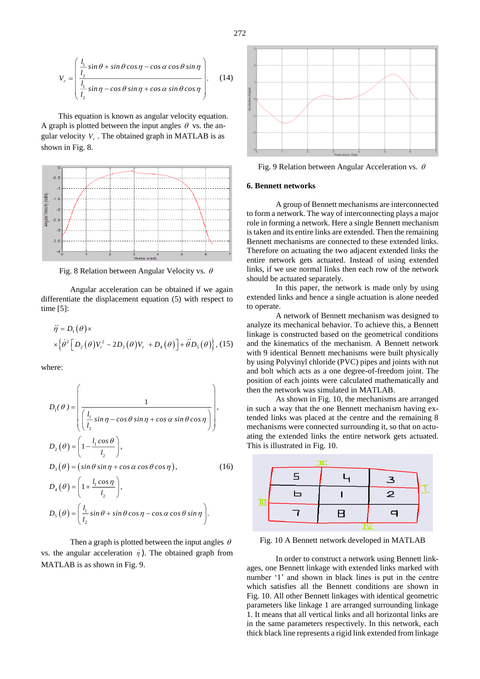$$
V_r = \begin{pmatrix} \frac{l_1}{l_2} \sin \theta + \sin \theta \cos \eta - \cos \alpha \cos \theta \sin \eta \\ \frac{l_1}{l_2} \sin \eta - \cos \theta \sin \eta + \cos \alpha \sin \theta \cos \eta \\ l_2 \end{pmatrix} . \tag{14}
$$

This equation is known as angular velocity equation. A graph is plotted between the input angles  $\theta$  vs. the angular velocity  $V_r$ . The obtained graph in MATLAB is as shown in Fig. 8.



Fig. 8 Relation between Angular Velocity vs.  $\theta$ 

Angular acceleration can be obtained if we again differentiate the displacement equation (5) with respect to time [5]:

$$
\ddot{\eta} = D_1(\theta) \times
$$
  
 
$$
\times \Big\{\dot{\theta}^2 \Big[D_2(\theta) V_r^2 - 2D_3(\theta) V_r + D_4(\theta)\Big] + \ddot{\theta} D_5(\theta)\Big\}, (15)
$$

where:

$$
D_1(\theta) = \left( \frac{1}{\left( \frac{l_1}{l_2} \sin \eta - \cos \theta \sin \eta + \cos \alpha \sin \theta \cos \eta \right)} \right),
$$
  
\n
$$
D_2(\theta) = \left( 1 - \frac{l_1 \cos \theta}{l_2} \right),
$$
  
\n
$$
D_3(\theta) = (\sin \theta \sin \eta + \cos \alpha \cos \theta \cos \eta),
$$
  
\n
$$
D_4(\theta) = \left( 1 + \frac{l_1 \cos \eta}{l_2} \right),
$$
  
\n
$$
D_5(\theta) = \left( \frac{l_1}{l_2} \sin \theta + \sin \theta \cos \eta - \cos \alpha \cos \theta \sin \eta \right).
$$
  
\n(16)

Then a graph is plotted between the input angles  $\theta$ vs. the angular acceleration  $\eta$ ). The obtained graph from MATLAB is as shown in Fig. 9.



Fig. 9 Relation between Angular Acceleration vs.  $\theta$ 

#### **6. Bennett networks**

A group of Bennett mechanisms are interconnected to form a network. The way of interconnecting plays a major role in forming a network. Here a single Bennett mechanism is taken and its entire links are extended. Then the remaining Bennett mechanisms are connected to these extended links. Therefore on actuating the two adjacent extended links the entire network gets actuated. Instead of using extended links, if we use normal links then each row of the network should be actuated separately.

In this paper, the network is made only by using extended links and hence a single actuation is alone needed to operate.

A network of Bennett mechanism was designed to analyze its mechanical behavior. To achieve this, a Bennett linkage is constructed based on the geometrical conditions and the kinematics of the mechanism. A Bennett network with 9 identical Bennett mechanisms were built physically by using Polyvinyl chloride (PVC) pipes and joints with nut and bolt which acts as a one degree-of-freedom joint. The position of each joints were calculated mathematically and then the network was simulated in MATLAB.

As shown in Fig. 10, the mechanisms are arranged in such a way that the one Bennett mechanism having extended links was placed at the centre and the remaining 8 mechanisms were connected surrounding it, so that on actuating the extended links the entire network gets actuated. This is illustrated in Fig. 10.



Fig. 10 A Bennett network developed in MATLAB

In order to construct a network using Bennett linkages, one Bennett linkage with extended links marked with number '1' and shown in black lines is put in the centre which satisfies all the Bennett conditions are shown in Fig. 10. All other Bennett linkages with identical geometric parameters like linkage 1 are arranged surrounding linkage 1. It means that all vertical links and all horizontal links are in the same parameters respectively. In this network, each thick black line represents a rigid link extended from linkage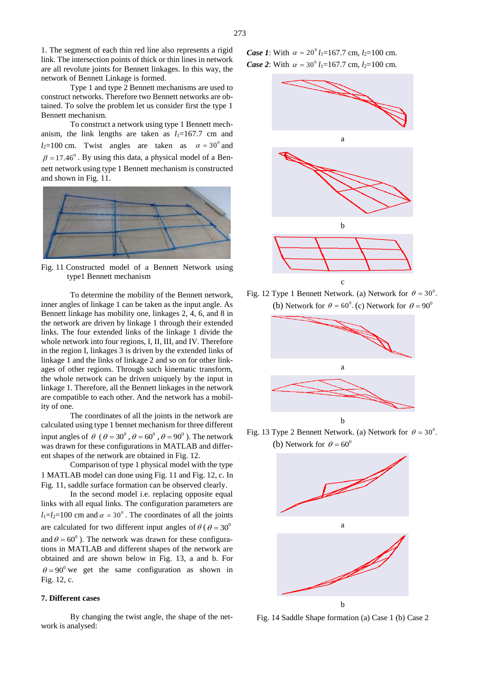1. The segment of each thin red line also represents a rigid link. The intersection points of thick or thin lines in network are all revolute joints for Bennett linkages. In this way, the network of Bennett Linkage is formed.

Type 1 and type 2 Bennett mechanisms are used to construct networks. Therefore two Bennett networks are obtained. To solve the problem let us consider first the type 1 Bennett mechanism.

To construct a network using type 1 Bennett mechanism, the link lengths are taken as  $l_1=167.7$  cm and  $l_2$ =100 cm. Twist angles are taken as  $\alpha = 30^\circ$  and  $\beta$  = 17.46<sup>°</sup>. By using this data, a physical model of a Bennett network using type 1 Bennett mechanism is constructed and shown in Fig. 11.



Fig. 11 Constructed model of a Bennett Network using type1 Bennett mechanism

To determine the mobility of the Bennett network, inner angles of linkage 1 can be taken as the input angle. As Bennett linkage has mobility one, linkages 2, 4, 6, and 8 in the network are driven by linkage 1 through their extended links. The four extended links of the linkage 1 divide the whole network into four regions, I, II, III, and IV. Therefore in the region I, linkages 3 is driven by the extended links of linkage 1 and the links of linkage 2 and so on for other linkages of other regions. Through such kinematic transform, the whole network can be driven uniquely by the input in linkage 1. Therefore, all the Bennett linkages in the network are compatible to each other. And the network has a mobility of one.

The coordinates of all the joints in the network are calculated using type 1 bennet mechanism for three different input angles of  $\theta$  ( $\theta = 30^{\circ}$ ,  $\theta = 60^{\circ}$ ,  $\theta = 90^{\circ}$ ). The network was drawn for these configurations in MATLAB and different shapes of the network are obtained in Fig. 12.

Comparison of type 1 physical model with the type 1 MATLAB model can done using Fig. 11 and Fig. 12, c. In Fig. 11, saddle surface formation can be observed clearly.

In the second model i.e. replacing opposite equal links with all equal links. The configuration parameters are  $l_1=l_2=100$  cm and  $\alpha = 30^\circ$ . The coordinates of all the joints are calculated for two different input angles of  $\theta$  ( $\theta = 30^{\circ}$ and  $\theta = 60^\circ$ ). The network was drawn for these configurations in MATLAB and different shapes of the network are obtained and are shown below in Fig. 13, a and b. For  $\theta = 90^{\circ}$  we get the same configuration as shown in Fig. 12, c.

## **7. Different cases**

By changing the twist angle, the shape of the network is analysed:

*Case 1*: With  $\alpha = 20^{\circ} l_1 = 167.7$  cm,  $l_2 = 100$  cm. *Case 2*: With  $\alpha = 30^{\circ} l_1 = 167.7$  cm,  $l_2 = 100$  cm.



Fig. 12 Type 1 Bennett Network. (a) Network for  $\theta = 30^\circ$ . (b) Network for  $\theta = 60^\circ$ . (c) Network for  $\theta = 90^\circ$ 



Fig. 13 Type 2 Bennett Network. (a) Network for  $\theta = 30^{\circ}$ . (b) Network for  $\theta = 60^\circ$ 



Fig. 14 Saddle Shape formation (a) Case 1 (b) Case 2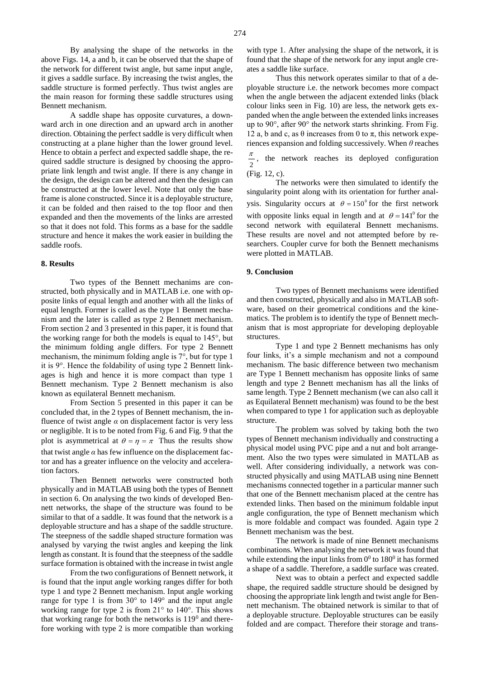By analysing the shape of the networks in the above Figs. 14, a and b, it can be observed that the shape of the network for different twist angle, but same input angle, it gives a saddle surface. By increasing the twist angles, the saddle structure is formed perfectly. Thus twist angles are the main reason for forming these saddle structures using Bennett mechanism.

A saddle shape has opposite curvatures, a downward arch in one direction and an upward arch in another direction. Obtaining the perfect saddle is very difficult when constructing at a plane higher than the lower ground level. Hence to obtain a perfect and expected saddle shape, the required saddle structure is designed by choosing the appropriate link length and twist angle. If there is any change in the design, the design can be altered and then the design can be constructed at the lower level. Note that only the base frame is alone constructed. Since it is a deployable structure, it can be folded and then raised to the top floor and then expanded and then the movements of the links are arrested so that it does not fold. This forms as a base for the saddle structure and hence it makes the work easier in building the saddle roofs.

#### **8. Results**

Two types of the Bennett mechanims are constructed, both physically and in MATLAB i.e. one with opposite links of equal length and another with all the links of equal length. Former is called as the type 1 Bennett mechanism and the later is called as type 2 Bennett mechanism. From section 2 and 3 presented in this paper, it is found that the working range for both the models is equal to 145°, but the minimum folding angle differs. For type 2 Bennett mechanism, the minimum folding angle is 7°, but for type 1 it is 9°. Hence the foldability of using type 2 Bennett linkages is high and hence it is more compact than type 1 Bennett mechanism. Type 2 Bennett mechanism is also known as equilateral Bennett mechanism.

From Section 5 presented in this paper it can be concluded that, in the 2 types of Bennett mechanism, the influence of twist angle  $\alpha$  on displacement factor is very less or negligible. It is to be noted from Fig. 6 and Fig. 9 that the plot is asymmetrical at  $\theta = \eta = \pi$  Thus the results show that twist angle  $\alpha$  has few influence on the displacement factor and has a greater influence on the velocity and acceleration factors.

Then Bennett networks were constructed both physically and in MATLAB using both the types of Bennett in section 6. On analysing the two kinds of developed Bennett networks, the shape of the structure was found to be similar to that of a saddle. It was found that the network is a deployable structure and has a shape of the saddle structure. The steepness of the saddle shaped structure formation was analysed by varying the twist angles and keeping the link length as constant. It is found that the steepness of the saddle surface formation is obtained with the increase in twist angle

From the two configurations of Bennett network, it is found that the input angle working ranges differ for both type 1 and type 2 Bennett mechanism. Input angle working range for type 1 is from 30° to 149° and the input angle working range for type 2 is from 21° to 140°. This shows that working range for both the networks is  $119<sup>0</sup>$  and therefore working with type 2 is more compatible than working

Thus this network operates similar to that of a deployable structure i.e. the network becomes more compact when the angle between the adjacent extended links (black colour links seen in Fig. 10) are less, the network gets expanded when the angle between the extended links increases up to 90°, after 90° the network starts shrinking. From Fig. 12 a, b and c, as θ increases from 0 to π, this network experiences expansion and folding successively. When *θ* reaches

2  $\frac{\pi}{\pi}$ , the network reaches its deployed configuration (Fig. 12, c).

The networks were then simulated to identify the singularity point along with its orientation for further analysis. Singularity occurs at  $\theta = 150^{\circ}$  for the first network with opposite links equal in length and at  $\theta = 141^{\circ}$  for the second network with equilateral Bennett mechanisms. These results are novel and not attempted before by researchers. Coupler curve for both the Bennett mechanisms were plotted in MATLAB.

## **9. Conclusion**

Two types of Bennett mechanisms were identified and then constructed, physically and also in MATLAB software, based on their geometrical conditions and the kinematics. The problem is to identify the type of Bennett mechanism that is most appropriate for developing deployable structures.

Type 1 and type 2 Bennett mechanisms has only four links, it's a simple mechanism and not a compound mechanism. The basic difference between two mechanism are Type 1 Bennett mechanism has opposite links of same length and type 2 Bennett mechanism has all the links of same length. Type 2 Bennett mechanism (we can also call it as Equilateral Bennett mechanism) was found to be the best when compared to type 1 for application such as deployable structure.

The problem was solved by taking both the two types of Bennett mechanism individually and constructing a physical model using PVC pipe and a nut and bolt arrangement. Also the two types were simulated in MATLAB as well. After considering individually, a network was constructed physically and using MATLAB using nine Bennett mechanisms connected together in a particular manner such that one of the Bennett mechanism placed at the centre has extended links. Then based on the minimum foldable input angle configuration, the type of Bennett mechanism which is more foldable and compact was founded. Again type 2 Bennett mechanism was the best.

The network is made of nine Bennett mechanisms combinations. When analysing the network it was found that while extending the input links from  $0^0$  to  $180^0$  it has formed a shape of a saddle. Therefore, a saddle surface was created.

Next was to obtain a perfect and expected saddle shape, the required saddle structure should be designed by choosing the appropriate link length and twist angle for Bennett mechanism. The obtained network is similar to that of a deployable structure. Deployable structures can be easily folded and are compact. Therefore their storage and trans